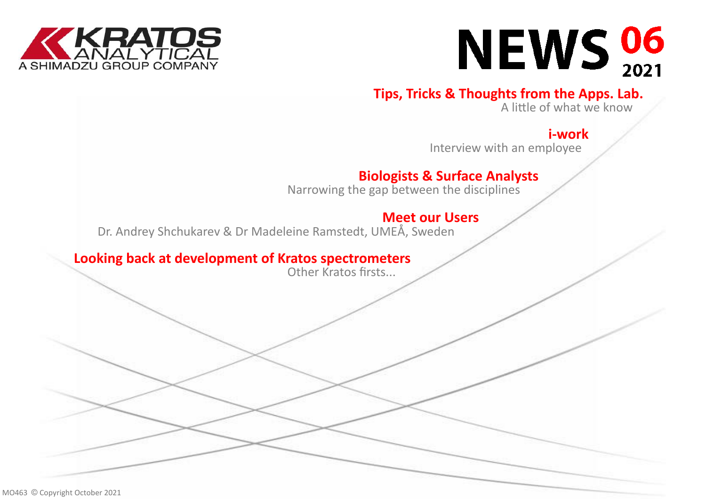



## **[Tips, Tricks & Thoughts from the Apps. Lab.](#page-2-0)**

A little of what we know

## **i-[work](#page-3-0)**

Interview with an employee

## **[Biologists & Surface Analysts](#page-4-0)**

Narrowing the gap between the disciplines

## **[Meet our Users](#page-5-0)**

Dr. Andrey Shchukarev & Dr Madeleine Ramstedt, UMEÅ, Sweden

### **[Looking back at development of Kratos spectrometers](#page-6-0)**

Other Kratos firsts...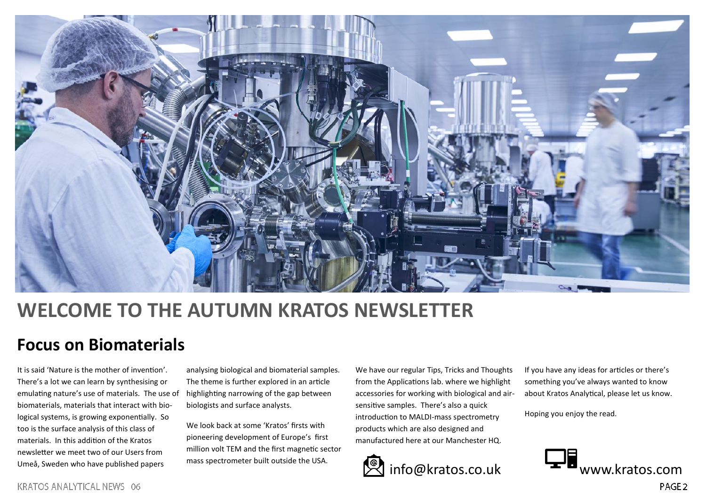

## **WELCOME TO THE AUTUMN KRATOS NEWSLETTER**

## **Focus on Biomaterials**

It is said 'Nature is the mother of invention'. There's a lot we can learn by synthesising or emulating nature's use of materials. The use of biomaterials, materials that interact with biological systems, is growing exponentially. So too is the surface analysis of this class of materials. In this addition of the Kratos newsletter we meet two of our Users from Umeå, Sweden who have published papers

analysing biological and biomaterial samples. The theme is further explored in an article highlighting narrowing of the gap between biologists and surface analysts.

We look back at some 'Kratos' firsts with pioneering development of Europe's first million volt TEM and the first magnetic sector mass spectrometer built outside the USA.

We have our regular Tips, Tricks and Thoughts from the Applications lab. where we highlight accessories for working with biological and airsensitive samples. There's also a quick introduction to MALDI-mass spectrometry products which are also designed and manufactured here at our Manchester HQ.



If you have any ideas for articles or there's something you've always wanted to know about Kratos Analytical, please let us know.

Hoping you enjoy the read.

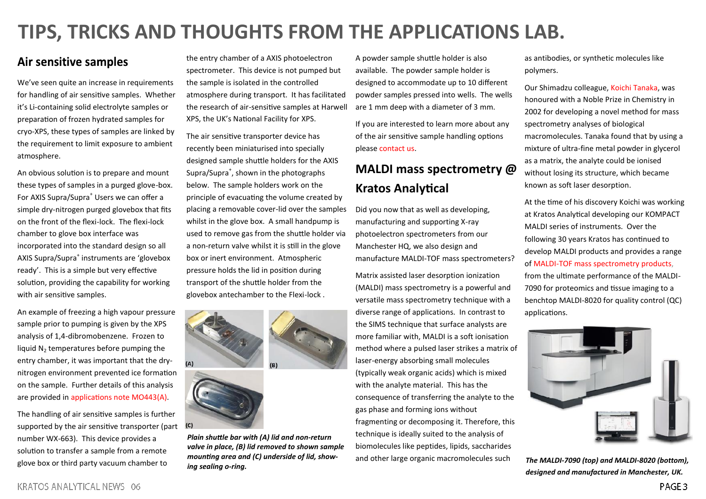# <span id="page-2-0"></span>**TIPS, TRICKS AND THOUGHTS FROM THE APPLICATIONS LAB.**

### Air sensitive samples

We've seen quite an increase in requirements for handling of air sensitive samples. Whether it's Li-containing solid electrolyte samples or preparation of frozen hydrated samples for cryo-XPS, these types of samples are linked by the requirement to limit exposure to ambient atmosphere.

An obvious solution is to prepare and mount these types of samples in a purged glove-box. For AXIS Supra/Supra<sup>+</sup> Users we can offer a simple dry-nitrogen purged glovebox that fits on the front of the flexi-lock. The flexi-lock chamber to glove box interface was incorporated into the standard design so all AXIS Supra/Supra<sup>+</sup> instruments are 'glovebox ready'. This is a simple but very effective solution, providing the capability for working with air sensitive samples.

An example of freezing a high vapour pressure sample prior to pumping is given by the XPS analysis of 1,4-dibromobenzene. Frozen to liquid  $N<sub>2</sub>$  temperatures before pumping the entry chamber, it was important that the drynitrogen environment prevented ice formation on the sample. Further details of this analysis are provided in [applications note MO443\(A\).](https://www.kratos.com/application-areas/application-downloads/xps-analysis-frozen-14-dibromobenzene) 

The handling of air sensitive samples is further supported by the air sensitive transporter (part number WX-663). This device provides a solution to transfer a sample from a remote glove box or third party vacuum chamber to

the entry chamber of a AXIS photoelectron spectrometer. This device is not pumped but the sample is isolated in the controlled atmosphere during transport. It has facilitated the research of air-sensitive samples at Harwell XPS, the UK's National Facility for XPS.

The air sensitive transporter device has recently been miniaturised into specially designed sample shuttle holders for the AXIS Supra/Supra<sup>+</sup>, shown in the photographs below. The sample holders work on the principle of evacuating the volume created by placing a removable cover-lid over the samples whilst in the glove box. A small handpump is used to remove gas from the shuttle holder via a non-return valve whilst it is still in the glove box or inert environment. Atmospheric pressure holds the lid in position during transport of the shuttle holder from the glovebox antechamber to the Flexi-lock .



*Plain shuttle bar with (A) lid and non-return valve in place, (B) lid removed to shown sample mounting area and (C) underside of lid, showing sealing o-ring.*

 $(C)$ 

A powder sample shuttle holder is also available. The powder sample holder is designed to accommodate up to 10 different powder samples pressed into wells. The wells are 1 mm deep with a diameter of 3 mm.

If you are interested to learn more about any of the air sensitive sample handling options please [contact us.](mailto:surface.sales@kratos.co.uk?subject=air%20sensitive%20sample%20handling) 

### **MALDI mass spectrometry @ Kratos Analytical**

Did you now that as well as developing, manufacturing and supporting X-ray photoelectron spectrometers from our Manchester HQ, we also design and manufacture MALDI-TOF mass spectrometers?

Matrix assisted laser desorption ionization (MALDI) mass spectrometry is a powerful and versatile mass spectrometry technique with a diverse range of applications. In contrast to the SIMS technique that surface analysts are more familiar with, MALDI is a soft ionisation method where a pulsed laser strikes a matrix of laser-energy absorbing small molecules (typically weak organic acids) which is mixed with the analyte material. This has the consequence of transferring the analyte to the gas phase and forming ions without fragmenting or decomposing it. Therefore, this technique is ideally suited to the analysis of biomolecules like peptides, lipids, saccharides and other large organic macromolecules such

as antibodies, or synthetic molecules like polymers.

Our Shimadzu colleague, [Koichi Tanaka,](https://www.shimadzu.com/about/nobel/noblesoul/index.html) was honoured with a Noble Prize in Chemistry in 2002 for developing a novel method for mass spectrometry analyses of biological macromolecules. Tanaka found that by using a mixture of ultra-fine metal powder in glycerol as a matrix, the analyte could be ionised without losing its structure, which became known as soft laser desorption.

At the time of his discovery Koichi was working at Kratos Analytical developing our KOMPACT MALDI series of instruments. Over the following 30 years Kratos has continued to develop MALDI products and provides a range of MALDI-[TOF mass spectrometry products,](https://www.shimadzu.com/an/products/maldi/ms/index.html) from the ultimate performance of the MALDI-7090 for proteomics and tissue imaging to a benchtop MALDI-8020 for quality control (QC) applications.



*The MALDI-7090 (top) and MALDI-8020 (bottom), designed and manufactured in Manchester, UK.*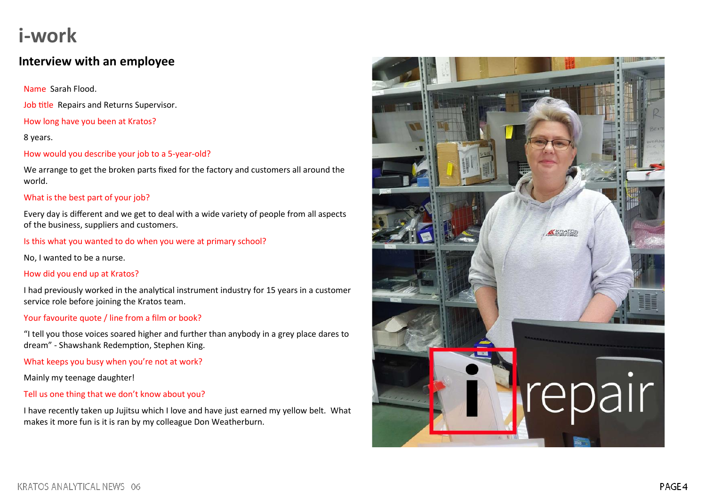## <span id="page-3-0"></span>**i-work**

### **Interview with an employee**

Name Sarah Flood.

Job title Repairs and Returns Supervisor.

How long have you been at Kratos?

8 years.

How would you describe your job to a 5-year-old?

We arrange to get the broken parts fixed for the factory and customers all around the world.

### What is the best part of your job?

Every day is different and we get to deal with a wide variety of people from all aspects of the business, suppliers and customers.

Is this what you wanted to do when you were at primary school?

No, I wanted to be a nurse.

How did you end up at Kratos?

I had previously worked in the analytical instrument industry for 15 years in a customer service role before joining the Kratos team.

### Your favourite quote / line from a film or book?

"I tell you those voices soared higher and further than anybody in a grey place dares to dream" - Shawshank Redemption, Stephen King.

What keeps you busy when you're not at work?

Mainly my teenage daughter!

### Tell us one thing that we don't know about you?

I have recently taken up Jujitsu which I love and have just earned my yellow belt. What makes it more fun is it is ran by my colleague Don Weatherburn.

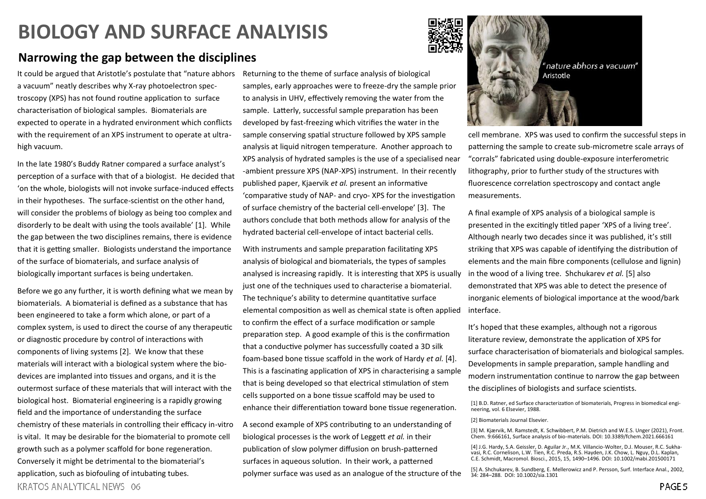# <span id="page-4-0"></span>**BIOLOGY AND SURFACE ANALYISIS**

### **Narrowing the gap between the disciplines**

It could be argued that Aristotle's postulate that "nature abhors Returning to the theme of surface analysis of biological a vacuum" neatly describes why X-ray photoelectron spectroscopy (XPS) has not found routine application to surface characterisation of biological samples. Biomaterials are expected to operate in a hydrated environment which conflicts with the requirement of an XPS instrument to operate at ultrahigh vacuum.

In the late 1980's Buddy Ratner compared a surface analyst's perception of a surface with that of a biologist. He decided that 'on the whole, biologists will not invoke surface-induced effects in their hypotheses. The surface-scientist on the other hand, will consider the problems of biology as being too complex and disorderly to be dealt with using the tools available' [1]. While the gap between the two disciplines remains, there is evidence that it is getting smaller. Biologists understand the importance of the surface of biomaterials, and surface analysis of biologically important surfaces is being undertaken.

Before we go any further, it is worth defining what we mean by biomaterials. A biomaterial is defined as a substance that has been engineered to take a form which alone, or part of a complex system, is used to direct the course of any therapeutic or diagnostic procedure by control of interactions with components of living systems [2]. We know that these materials will interact with a biological system where the biodevices are implanted into tissues and organs, and it is the outermost surface of these materials that will interact with the biological host. Biomaterial engineering is a rapidly growing field and the importance of understanding the surface chemistry of these materials in controlling their efficacy in-vitro is vital. It may be desirable for the biomaterial to promote cell growth such as a polymer scaffold for bone regeneration. Conversely it might be detrimental to the biomaterial's application, such as biofouling of intubating tubes. **KRATOS ANALYTICAL NEWS 06** 

samples, early approaches were to freeze-dry the sample prior to analysis in UHV, effectively removing the water from the sample. Latterly, successful sample preparation has been developed by fast-freezing which vitrifies the water in the sample conserving spatial structure followed by XPS sample analysis at liquid nitrogen temperature. Another approach to XPS analysis of hydrated samples is the use of a specialised near -ambient pressure XPS (NAP-XPS) instrument. In their recently published paper, Kjaervik *et al.* present an informative 'comparative study of NAP- and cryo- XPS for the investigation of surface chemistry of the bacterial cell-envelope' [3]. The authors conclude that both methods allow for analysis of the hydrated bacterial cell-envelope of intact bacterial cells.

With instruments and sample preparation facilitating XPS analysis of biological and biomaterials, the types of samples analysed is increasing rapidly. It is interesting that XPS is usually just one of the techniques used to characterise a biomaterial. The technique's ability to determine quantitative surface elemental composition as well as chemical state is often applied to confirm the effect of a surface modification or sample preparation step. A good example of this is the confirmation that a conductive polymer has successfully coated a 3D silk foam-based bone tissue scaffold in the work of Hardy *et al.* [4]. This is a fascinating application of XPS in characterising a sample that is being developed so that electrical stimulation of stem cells supported on a bone tissue scaffold may be used to enhance their differentiation toward bone tissue regeneration.

A second example of XPS contributing to an understanding of biological processes is the work of Leggett *et al.* in their publication of slow polymer diffusion on brush-patterned surfaces in aqueous solution. In their work, a patterned polymer surface was used as an analogue of the structure of the



cell membrane. XPS was used to confirm the successful steps in patterning the sample to create sub-micrometre scale arrays of "corrals" fabricated using double-exposure interferometric lithography, prior to further study of the structures with fluorescence correlation spectroscopy and contact angle measurements.

A final example of XPS analysis of a biological sample is presented in the excitingly titled paper 'XPS of a living tree'. Although nearly two decades since it was published, it's still striking that XPS was capable of identifying the distribution of elements and the main fibre components (cellulose and lignin) in the wood of a living tree. Shchukarev *et al.* [5] also demonstrated that XPS was able to detect the presence of inorganic elements of biological importance at the wood/bark interface.

It's hoped that these examples, although not a rigorous literature review, demonstrate the application of XPS for surface characterisation of biomaterials and biological samples. Developments in sample preparation, sample handling and modern instrumentation continue to narrow the gap between the disciplines of biologists and surface scientists.

[1] B.D. Ratner, ed Surface characterization of biomaterials, Progress in biomedical engineering, vol. 6 Elsevier, 1988.

#### [2] Biomaterials Journal Elsevier.

[3] M. Kjærvik, M. Ramstedt, K. Schwibbert, P.M. Dietrich and W.E.S. Unger (2021), Front. Chem. 9:666161, Surface analysis of bio-materials. DOI: 10.3389/fchem.2021.666161

[4] J.G. Hardy, S.A. Geissler, D. Aguilar Jr., M.K. Villancio-Wolter, D.J. Mouser, R.C. Sukha-vasi, R.C. Cornelison, L.W. Tien, R.C. Preda, R.S. Hayden, J.K. Chow, L. Nguy, D.L. Kaplan, C.E. Schmidt, Macromol. Biosci., 2015, 15, 1490–1496. DOI: 10.1002/mabi.201500171

[5] A. Shchukarev, B. Sundberg, E. Mellerowicz and P. Persson, Surf. Interface Anal., 2002, 34: 284–288. DOI: 10.1002/sia.1301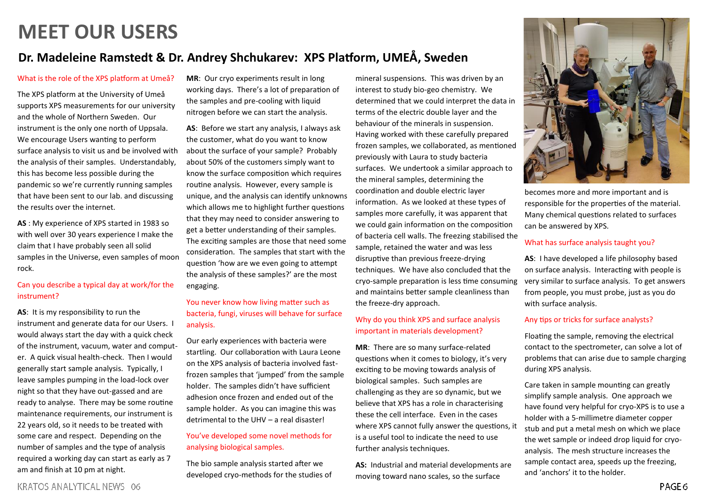# <span id="page-5-0"></span>**MEET OUR USERS**

### **Dr. Madeleine Ramstedt & Dr. Andrey Shchukarev: XPS Platform, UMEÅ, Sweden**

#### What is the role of the XPS platform at Umeå?

The XPS platform at the University of Umeå supports XPS measurements for our university and the whole of Northern Sweden. Our instrument is the only one north of Uppsala. We encourage Users wanting to perform surface analysis to visit us and be involved with the analysis of their samples. Understandably, this has become less possible during the pandemic so we're currently running samples that have been sent to our lab. and discussing the results over the internet.

**AS** : My experience of XPS started in 1983 so with well over 30 years experience I make the claim that I have probably seen all solid samples in the Universe, even samples of moon rock.

#### Can you describe a typical day at work/for the instrument?

**AS**: It is my responsibility to run the instrument and generate data for our Users. I would always start the day with a quick check of the instrument, vacuum, water and computer. A quick visual health-check. Then I would generally start sample analysis. Typically, I leave samples pumping in the load-lock over night so that they have out-gassed and are ready to analyse. There may be some routine maintenance requirements, our instrument is 22 years old, so it needs to be treated with some care and respect. Depending on the number of samples and the type of analysis required a working day can start as early as 7 am and finish at 10 pm at night.

**MR**: Our cryo experiments result in long working days. There's a lot of preparation of the samples and pre-cooling with liquid nitrogen before we can start the analysis.

**AS**: Before we start any analysis, I always ask the customer, what do you want to know about the surface of your sample? Probably about 50% of the customers simply want to know the surface composition which requires routine analysis. However, every sample is unique, and the analysis can identify unknowns which allows me to highlight further questions that they may need to consider answering to get a better understanding of their samples. The exciting samples are those that need some consideration. The samples that start with the question 'how are we even going to attempt the analysis of these samples?' are the most engaging.

### You never know how living matter such as bacteria, fungi, viruses will behave for surface analysis.

Our early experiences with bacteria were startling. Our collaboration with Laura Leone on the XPS analysis of bacteria involved fastfrozen samples that 'jumped' from the sample holder. The samples didn't have sufficient adhesion once frozen and ended out of the sample holder. As you can imagine this was detrimental to the UHV – a real disaster!

### You've developed some novel methods for analysing biological samples.

The bio sample analysis started after we developed cryo-methods for the studies of mineral suspensions. This was driven by an interest to study bio-geo chemistry. We determined that we could interpret the data in terms of the electric double layer and the behaviour of the minerals in suspension. Having worked with these carefully prepared frozen samples, we collaborated, as mentioned previously with Laura to study bacteria surfaces. We undertook a similar approach to the mineral samples, determining the coordination and double electric layer information. As we looked at these types of samples more carefully, it was apparent that we could gain information on the composition of bacteria cell walls. The freezing stabilised the sample, retained the water and was less disruptive than previous freeze-drying techniques. We have also concluded that the cryo-sample preparation is less time consuming and maintains better sample cleanliness than the freeze-dry approach.

#### Why do you think XPS and surface analysis important in materials development?

**MR**: There are so many surface-related questions when it comes to biology, it's very exciting to be moving towards analysis of biological samples. Such samples are challenging as they are so dynamic, but we believe that XPS has a role in characterising these the cell interface. Even in the cases where XPS cannot fully answer the questions, it is a useful tool to indicate the need to use further analysis techniques.

**AS:** Industrial and material developments are moving toward nano scales, so the surface



becomes more and more important and is responsible for the properties of the material. Many chemical questions related to surfaces can be answered by XPS.

#### What has surface analysis taught you?

**AS**: I have developed a life philosophy based on surface analysis. Interacting with people is very similar to surface analysis. To get answers from people, you must probe, just as you do with surface analysis.

#### Any tips or tricks for surface analysts?

Floating the sample, removing the electrical contact to the spectrometer, can solve a lot of problems that can arise due to sample charging during XPS analysis.

Care taken in sample mounting can greatly simplify sample analysis. One approach we have found very helpful for cryo-XPS is to use a holder with a 5-millimetre diameter copper stub and put a metal mesh on which we place the wet sample or indeed drop liquid for cryoanalysis. The mesh structure increases the sample contact area, speeds up the freezing, and 'anchors' it to the holder.